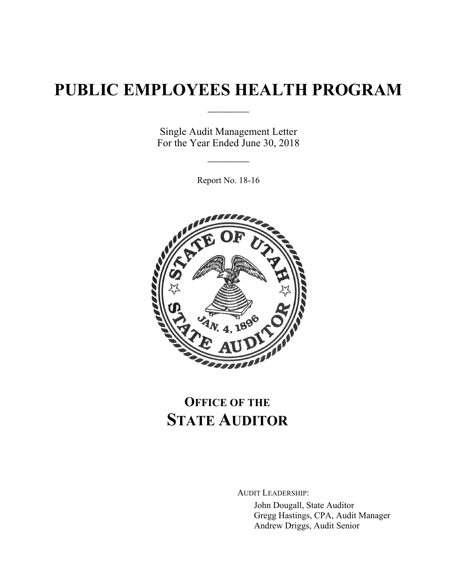# **PUBLIC EMPLOYEES HEALTH PROGRAM**

 $\frac{1}{2}$ 

Single Audit Management Letter For the Year Ended June 30, 2018

 $\frac{1}{2}$ 

Report No. 18-16



# **OFFICE OF THE STATE AUDITOR**

AUDIT LEADERSHIP:

John Dougall, State Auditor Gregg Hastings, CPA, Audit Manager Andrew Driggs, Audit Senior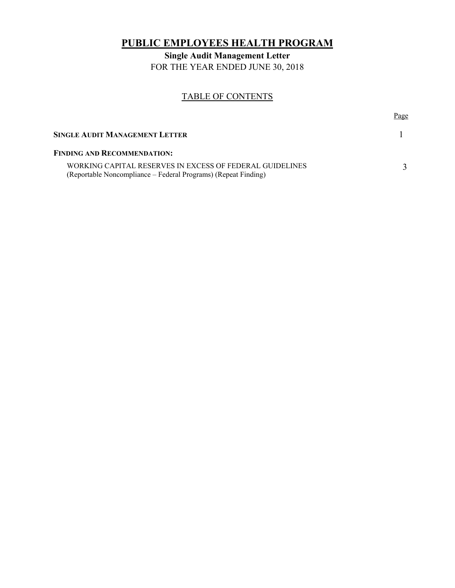# **PUBLIC EMPLOYEES HEALTH PROGRAM**

**Single Audit Management Letter**  FOR THE YEAR ENDED JUNE 30, 2018

## TABLE OF CONTENTS

|                                                                                                                            | Page |
|----------------------------------------------------------------------------------------------------------------------------|------|
| <b>SINGLE AUDIT MANAGEMENT LETTER</b>                                                                                      |      |
| <b>FINDING AND RECOMMENDATION:</b>                                                                                         |      |
| WORKING CAPITAL RESERVES IN EXCESS OF FEDERAL GUIDELINES<br>(Reportable Noncompliance – Federal Programs) (Repeat Finding) |      |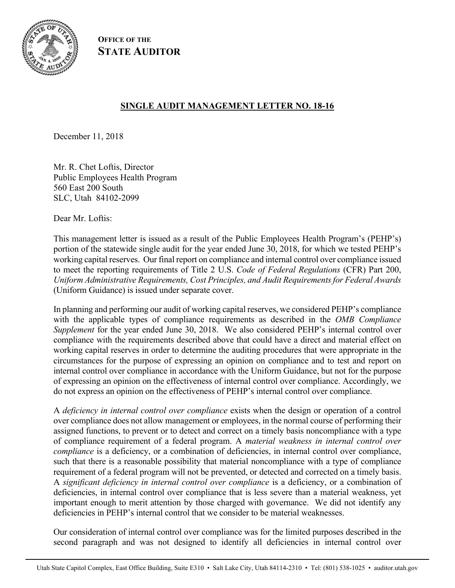

**OFFICE OF THE STATE AUDITOR**

# **SINGLE AUDIT MANAGEMENT LETTER NO. 18-16**

December 11, 2018

Mr. R. Chet Loftis, Director Public Employees Health Program 560 East 200 South SLC, Utah 84102-2099

Dear Mr. Loftis:

This management letter is issued as a result of the Public Employees Health Program's (PEHP's) portion of the statewide single audit for the year ended June 30, 2018, for which we tested PEHP's working capital reserves. Our final report on compliance and internal control over compliance issued to meet the reporting requirements of Title 2 U.S. *Code of Federal Regulations* (CFR) Part 200, *Uniform Administrative Requirements, Cost Principles, and Audit Requirements for Federal Awards* (Uniform Guidance) is issued under separate cover.

In planning and performing our audit of working capital reserves, we considered PEHP's compliance with the applicable types of compliance requirements as described in the *OMB Compliance Supplement* for the year ended June 30, 2018. We also considered PEHP's internal control over compliance with the requirements described above that could have a direct and material effect on working capital reserves in order to determine the auditing procedures that were appropriate in the circumstances for the purpose of expressing an opinion on compliance and to test and report on internal control over compliance in accordance with the Uniform Guidance, but not for the purpose of expressing an opinion on the effectiveness of internal control over compliance. Accordingly, we do not express an opinion on the effectiveness of PEHP's internal control over compliance.

A *deficiency in internal control over compliance* exists when the design or operation of a control over compliance does not allow management or employees, in the normal course of performing their assigned functions, to prevent or to detect and correct on a timely basis noncompliance with a type of compliance requirement of a federal program. A *material weakness in internal control over compliance* is a deficiency, or a combination of deficiencies, in internal control over compliance, such that there is a reasonable possibility that material noncompliance with a type of compliance requirement of a federal program will not be prevented, or detected and corrected on a timely basis. A *significant deficiency in internal control over compliance* is a deficiency, or a combination of deficiencies, in internal control over compliance that is less severe than a material weakness, yet important enough to merit attention by those charged with governance. We did not identify any deficiencies in PEHP's internal control that we consider to be material weaknesses.

Our consideration of internal control over compliance was for the limited purposes described in the second paragraph and was not designed to identify all deficiencies in internal control over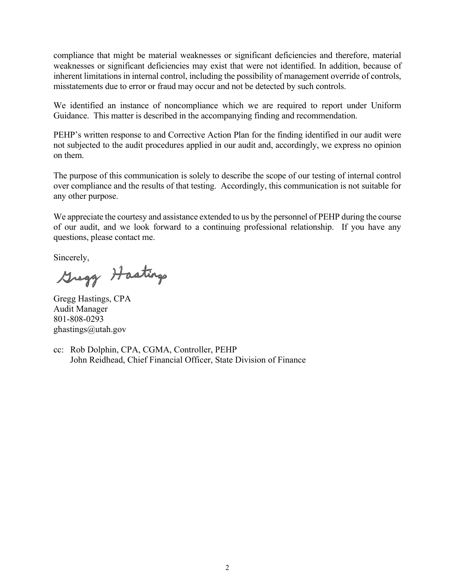compliance that might be material weaknesses or significant deficiencies and therefore, material weaknesses or significant deficiencies may exist that were not identified. In addition, because of inherent limitations in internal control, including the possibility of management override of controls, misstatements due to error or fraud may occur and not be detected by such controls.

We identified an instance of noncompliance which we are required to report under Uniform Guidance. This matter is described in the accompanying finding and recommendation.

PEHP's written response to and Corrective Action Plan for the finding identified in our audit were not subjected to the audit procedures applied in our audit and, accordingly, we express no opinion on them.

The purpose of this communication is solely to describe the scope of our testing of internal control over compliance and the results of that testing. Accordingly, this communication is not suitable for any other purpose.

We appreciate the courtesy and assistance extended to us by the personnel of PEHP during the course of our audit, and we look forward to a continuing professional relationship. If you have any questions, please contact me.

Sincerely,<br>Greggy Hastings

Gregg Hastings, CPA Audit Manager 801-808-0293 ghastings@utah.gov

cc: Rob Dolphin, CPA, CGMA, Controller, PEHP John Reidhead, Chief Financial Officer, State Division of Finance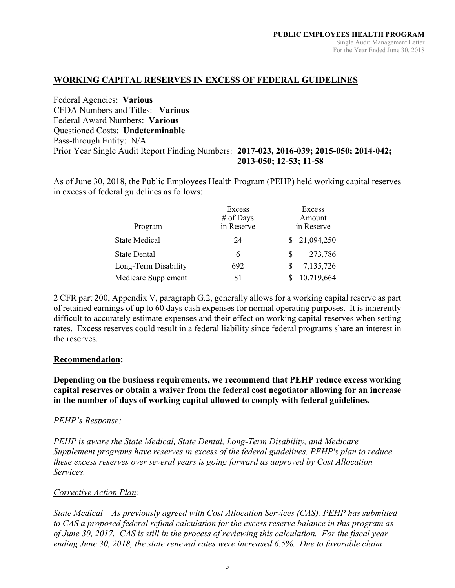### **WORKING CAPITAL RESERVES IN EXCESS OF FEDERAL GUIDELINES**

Federal Agencies: **Various**  CFDA Numbers and Titles: **Various**  Federal Award Numbers: **Various**  Questioned Costs: **Undeterminable** Pass-through Entity: N/A Prior Year Single Audit Report Finding Numbers: **2017-023, 2016-039; 2015-050; 2014-042; 2013-050; 12-53; 11-58**

As of June 30, 2018, the Public Employees Health Program (PEHP) held working capital reserves in excess of federal guidelines as follows:

|                      | Excess     |   | Excess       |
|----------------------|------------|---|--------------|
|                      | # of Days  |   | Amount       |
| Program              | in Reserve |   | in Reserve   |
| <b>State Medical</b> | 24         |   | \$21,094,250 |
| <b>State Dental</b>  | 6          | S | 273,786      |
| Long-Term Disability | 692        |   | 7,135,726    |
| Medicare Supplement  | 81         |   | 10,719,664   |

2 CFR part 200, Appendix V, paragraph G.2, generally allows for a working capital reserve as part of retained earnings of up to 60 days cash expenses for normal operating purposes. It is inherently difficult to accurately estimate expenses and their effect on working capital reserves when setting rates. Excess reserves could result in a federal liability since federal programs share an interest in the reserves.

### **Recommendation:**

**Depending on the business requirements, we recommend that PEHP reduce excess working capital reserves or obtain a waiver from the federal cost negotiator allowing for an increase in the number of days of working capital allowed to comply with federal guidelines.** 

### *PEHP's Response:*

*PEHP is aware the State Medical, State Dental, Long-Term Disability, and Medicare Supplement programs have reserves in excess of the federal guidelines. PEHP's plan to reduce these excess reserves over several years is going forward as approved by Cost Allocation Services.* 

### *Corrective Action Plan:*

*State Medical – As previously agreed with Cost Allocation Services (CAS), PEHP has submitted to CAS a proposed federal refund calculation for the excess reserve balance in this program as of June 30, 2017. CAS is still in the process of reviewing this calculation. For the fiscal year ending June 30, 2018, the state renewal rates were increased 6.5%. Due to favorable claim*